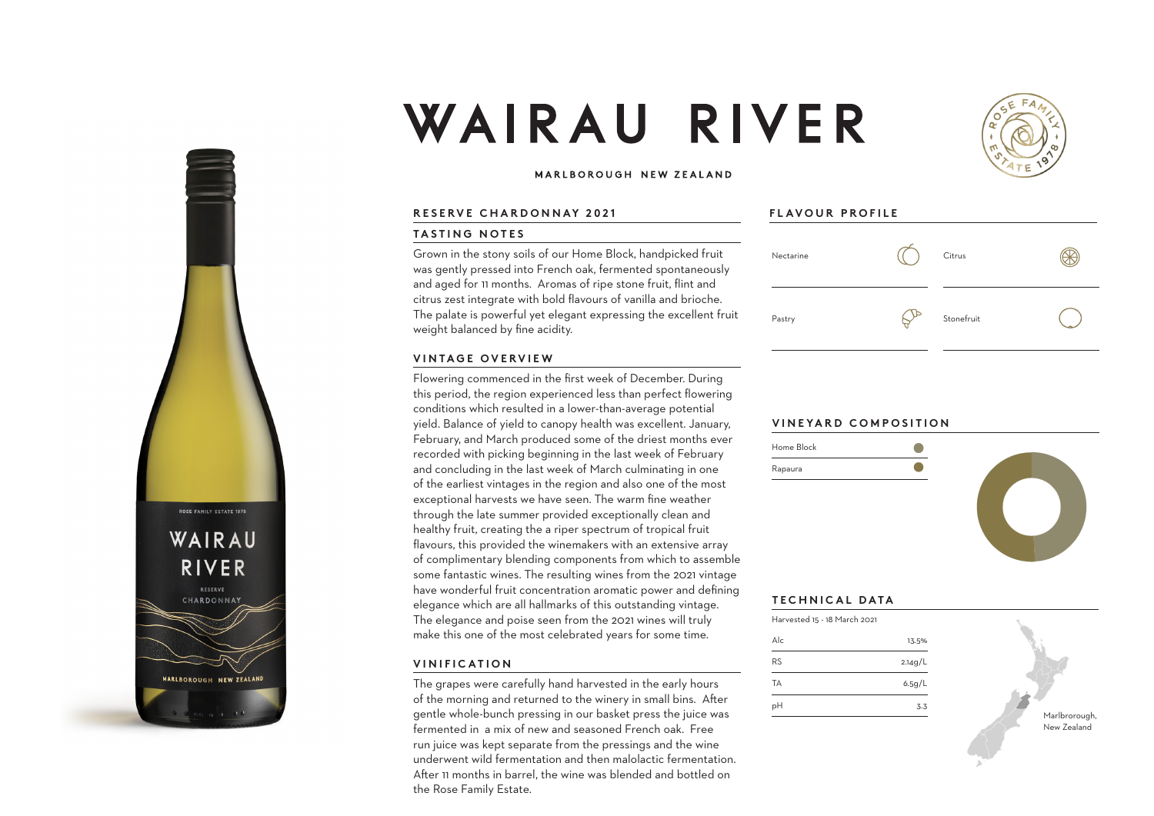



### MARLBOROUGH NEW ZEALAND

### **RESERVE CHARDONNAY 2021**

### **TASTING NOTES**

Grown in the stony soils of our Home Block, handpicked fruit was gently pressed into French oak, fermented spontaneously and aged for 11 months. Aromas of ripe stone fruit, flint and citrus zest integrate with bold flavours of vanilla and brioche. The palate is powerful yet elegant expressing the excellent fruit weight balanced by fine acidity.

### **VINTAGE OVERVIEW**

Flowering commenced in the first week of December. During this period, the region experienced less than perfect flowering conditions which resulted in a lower-than-average potential yield. Balance of yield to canopy health was excellent. January, February, and March produced some of the driest months ever recorded with picking beginning in the last week of February and concluding in the last week of March culminating in one of the earliest vintages in the region and also one of the most exceptional harvests we have seen. The warm fine weather through the late summer provided exceptionally clean and healthy fruit, creating the a riper spectrum of tropical fruit flavours, this provided the winemakers with an extensive array of complimentary blending components from which to assemble some fantastic wines. The resulting wines from the 2021 vintage have wonderful fruit concentration aromatic power and defining elegance which are all hallmarks of this outstanding vintage. The elegance and poise seen from the 2021 wines will truly make this one of the most celebrated years for some time.

## **VINIFICATION**

ROSE FAMILY ESTATE 1978

WAIRAU

RIVER RESERVE CHARDONNAY

MARLBOROUGH NEW ZEALAND

The grapes were carefully hand harvested in the early hours of the morning and returned to the winery in small bins. After gentle whole-bunch pressing in our basket press the juice was fermented in a mix of new and seasoned French oak. Free run juice was kept separate from the pressings and the wine underwent wild fermentation and then malolactic fermentation. After 11 months in barrel, the wine was blended and bottled on the Rose Family Estate.

## **FLAVOUR PROFILE**



# **VINEYARD COMPOSITION**



## **TECHNICAL DATA**

| Harvested 15 - 18 March 2021 |         |
|------------------------------|---------|
| $\Delta$ <sub>c</sub>        | 13.5%   |
| <b>RS</b>                    | 2.14g/L |
| TA                           | 6.5g/L  |
| рH                           | 3.3     |
|                              |         |

Marlbrorough New Zealand